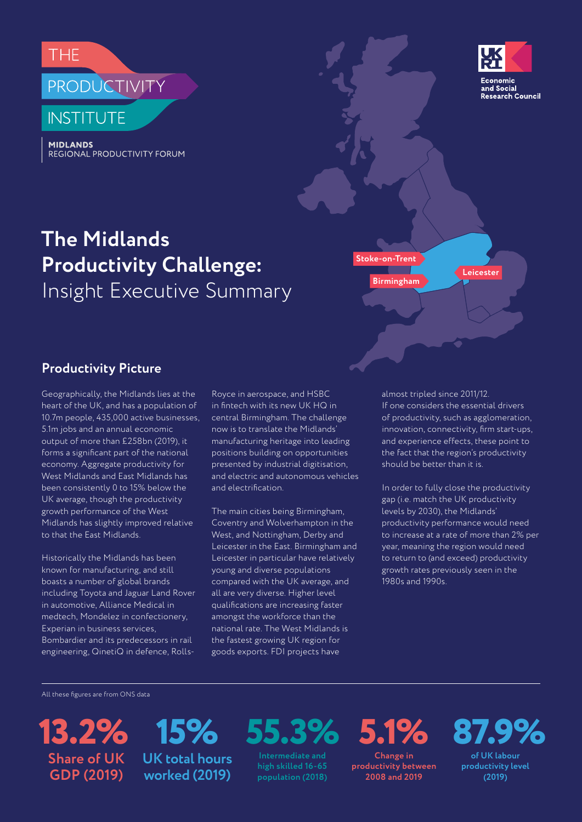





## **The Midlands Productivity Challenge: Insight Executive Summary Birmingham**

**Stoke-on-Trent**

#### **Productivity Picture**

Geographically, the Midlands lies at the heart of the UK, and has a population of 10.7m people, 435,000 active businesses, 5.1m jobs and an annual economic output of more than £258bn (2019), it forms a significant part of the national economy. Aggregate productivity for West Midlands and East Midlands has been consistently 0 to 15% below the UK average, though the productivity growth performance of the West Midlands has slightly improved relative to that the East Midlands.

Historically the Midlands has been known for manufacturing, and still boasts a number of global brands including Toyota and Jaguar Land Rover in automotive, Alliance Medical in medtech, Mondelez in confectionery, Experian in business services, Bombardier and its predecessors in rail engineering, QinetiQ in defence, RollsRoyce in aerospace, and HSBC in fintech with its new UK HQ in central Birmingham. The challenge now is to translate the Midlands' manufacturing heritage into leading positions building on opportunities presented by industrial digitisation, and electric and autonomous vehicles and electrification.

The main cities being Birmingham, Coventry and Wolverhampton in the West, and Nottingham, Derby and Leicester in the East. Birmingham and Leicester in particular have relatively young and diverse populations compared with the UK average, and all are very diverse. Higher level qualifications are increasing faster amongst the workforce than the national rate. The West Midlands is the fastest growing UK region for goods exports. FDI projects have

almost tripled since 2011/12. If one considers the essential drivers of productivity, such as agglomeration, innovation, connectivity, firm start-ups, and experience effects, these point to the fact that the region's productivity should be better than it is.

**Leicester**

In order to fully close the productivity gap (i.e. match the UK productivity levels by 2030), the Midlands' productivity performance would need to increase at a rate of more than 2% per year, meaning the region would need to return to (and exceed) productivity growth rates previously seen in the 1980s and 1990s.

All these figures are from ONS data

**13.2% 15% Share of UK GDP (2019)**

**UK total hours worked (2019)**

**55.3%**

**Intermediate and high skilled 16-65 population (2018)** **5.1%**

**Change in productivity between 2008 and 2019**

# **87.9%**

**of UK labour productivity level (2019)**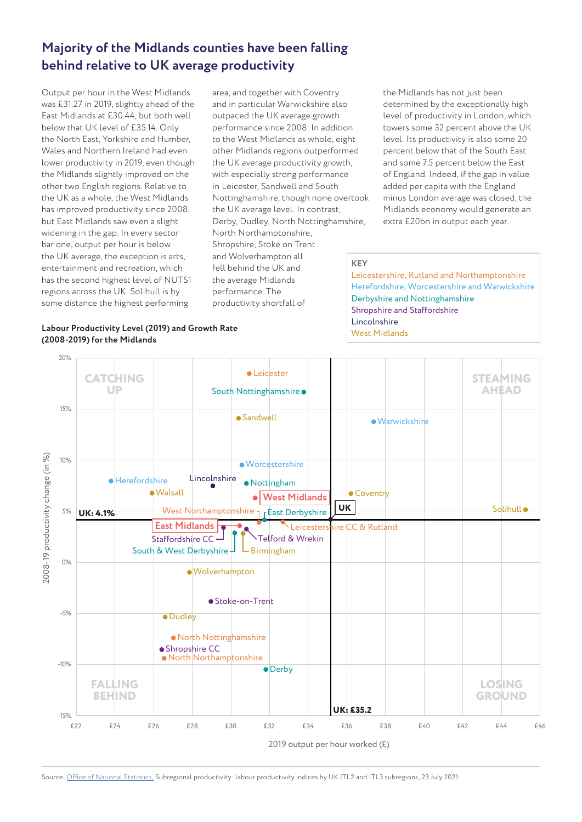### **Majority of the Midlands counties have been falling behind relative to UK average productivity**

Output per hour in the West Midlands was £31.27 in 2019, slightly ahead of the East Midlands at £30.44, but both well below that UK level of £35.14. Only the North East, Yorkshire and Humber, Wales and Northern Ireland had even lower productivity in 2019, even though the Midlands slightly improved on the other two English regions. Relative to the UK as a whole, the West Midlands has improved productivity since 2008, but East Midlands saw even a slight widening in the gap. In every sector bar one, output per hour is below the UK average, the exception is arts, entertainment and recreation, which has the second highest level of NUTS1 regions across the UK. Solihull is by some distance the highest performing

**KEY** area, and together with Coventry and in particular Warwickshire also outpaced the UK average growth performance since 2008. In addition to the West Midlands as whole, eight other Midlands regions outperformed the UK average productivity growth, with especially strong performance in Leicester, Sandwell and South Nottinghamshire, though none overtook the UK average level. In contrast, Derby, Dudley, North Nottinghamshire, North Northamptonshire, Shropshire, Stoke on Trent and Wolverhampton all fell behind the UK and the average Midlands performance. The productivity shortfall of

the Midlands has not just been determined by the exceptionally high level of productivity in London, which towers some 32 percent above the UK level. Its productivity is also some 20 percent below that of the South East and some 7.5 percent below the East of England. Indeed, if the gap in value added per capita with the England minus London average was closed, the Midlands economy would generate an extra £20bn in output each year.

Leicestershire, Rutland and Northamptonshire Herefordshire, Worcestershire and Warwickshire Derbyshire and Nottinghamshire Shropshire and Staffordshire Lincolnshire West Midlands

#### **Labour Productivity Level (2019) and Growth Rate (2008-2019) for the Midlands**



Source: [Office of National Statistics,](https://www.ons.gov.uk/employmentandlabourmarket/peopleinwork/labourproductivity/datasets/subregionalproductivitylabourproductivitygvaperhourworkedandgvaperfilledjobindicesbyuknuts2andnuts3subregions) Subregional productivity: labour productivity indices by UK ITL2 and ITL3 subregions, 23 July 2021.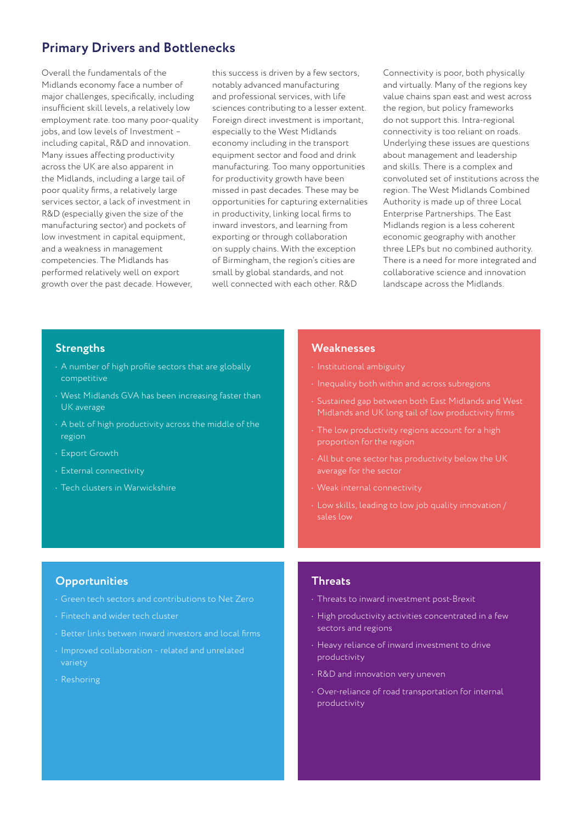#### **Primary Drivers and Bottlenecks**

Overall the fundamentals of the Midlands economy face a number of major challenges, specifically, including insufficient skill levels, a relatively low employment rate. too many poor-quality jobs, and low levels of Investment – including capital, R&D and innovation. Many issues affecting productivity across the UK are also apparent in the Midlands, including a large tail of poor quality firms, a relatively large services sector, a lack of investment in R&D (especially given the size of the manufacturing sector) and pockets of low investment in capital equipment, and a weakness in management competencies. The Midlands has performed relatively well on export growth over the past decade. However,

this success is driven by a few sectors, notably advanced manufacturing and professional services, with life sciences contributing to a lesser extent. Foreign direct investment is important, especially to the West Midlands economy including in the transport equipment sector and food and drink manufacturing. Too many opportunities for productivity growth have been missed in past decades. These may be opportunities for capturing externalities in productivity, linking local firms to inward investors, and learning from exporting or through collaboration on supply chains. With the exception of Birmingham, the region's cities are small by global standards, and not well connected with each other. R&D

Connectivity is poor, both physically and virtually. Many of the regions key value chains span east and west across the region, but policy frameworks do not support this. Intra-regional connectivity is too reliant on roads. Underlying these issues are questions about management and leadership and skills. There is a complex and convoluted set of institutions across the region. The West Midlands Combined Authority is made up of three Local Enterprise Partnerships. The East Midlands region is a less coherent economic geography with another three LEPs but no combined authority. There is a need for more integrated and collaborative science and innovation landscape across the Midlands.

#### **Strengths**

- A number of high profile sectors that are globally competitive
- West Midlands GVA has been increasing faster than UK average
- A belt of high productivity across the middle of the region
- Export Growth
- External connectivity
- Tech clusters in Warwickshire

#### **Weaknesses**

- Institutional ambiguity
- Inequality both within and across subregions
- Sustained gap between both East Midlands and West Midlands and UK long tail of low productivity firms
- The low productivity regions account for a high proportion for the region
- average for the sector
- Weak internal connectivity
- Low skills, leading to low job quality innovation / sales low

#### **Opportunities**

- 
- Fintech and wider tech cluster
- Better links betwen inward investors and local firms
- Improved collaboration related and unrelated variety
- Reshoring

#### **Threats**

- Threats to inward investment post-Brexit
- High productivity activities concentrated in a few sectors and regions
- Heavy reliance of inward investment to drive productivity
- R&D and innovation very uneven
- Over-reliance of road transportation for internal productivity